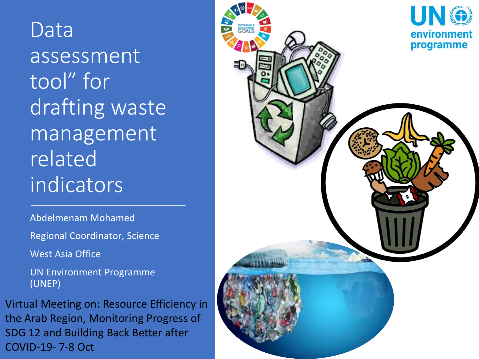Data assessment tool" for drafting waste management related indicators

Abdelmenam Mohamed

Regional Coordinator, Science

West Asia Office

UN Environment Programme (UNEP)

Virtual Meeting on: Resource Efficiency in the Arab Region, Monitoring Progress of SDG 12 and Building Back Better after COVID-19- 7-8 Oct

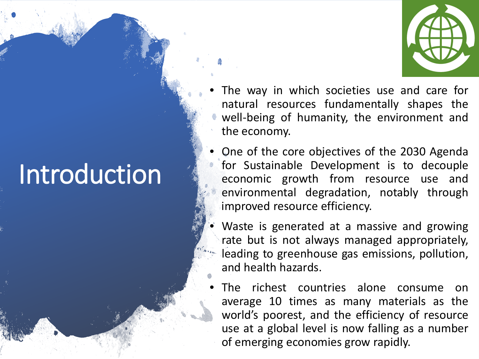# Introduction

- 
- The way in which societies use and care for natural resources fundamentally shapes the well-being of humanity, the environment and the economy.
- One of the core objectives of the 2030 Agenda for Sustainable Development is to decouple economic growth from resource use and environmental degradation, notably through improved resource efficiency.
- Waste is generated at a massive and growing rate but is not always managed appropriately, leading to greenhouse gas emissions, pollution, and health hazards.
- The richest countries alone consume on average 10 times as many materials as the world's poorest, and the efficiency of resource use at a global level is now falling as a number of emerging economies grow rapidly.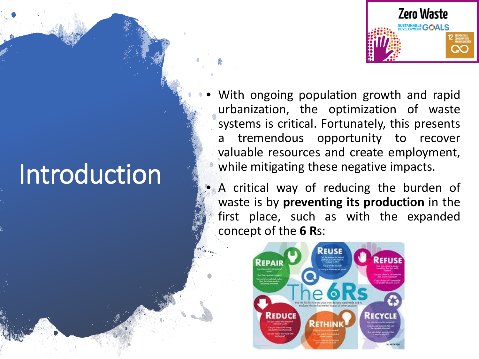## **Zero Waste** STAINABLE **GOALS**

With ongoing population growth and rapid urbanization, the optimization of waste systems is critical. Fortunately, this presents a tremendous opportunity to recover valuable resources and create employment, while mitigating these negative impacts.

A critical way of reducing the burden of waste is by **preventing its production** in the first place, such as with the expanded concept of the **6 R**s:



# Introduction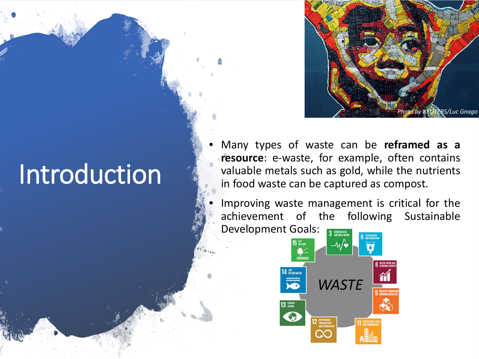

## Introduction

- Many types of waste can be **reframed as a resource**: e-waste, for example, often contains valuable metals such as gold, while the nutrients in food waste can be captured as compost.
- Improving waste management is critical for the achievement of the following Sustainable Development Goals: 3 GOOD HEALTH

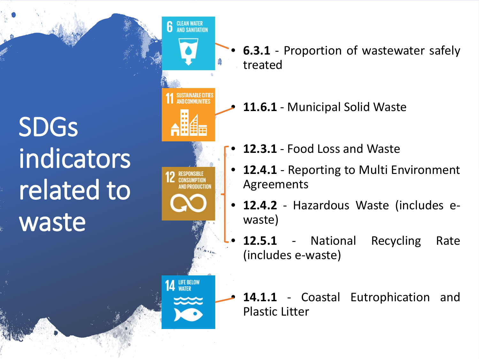SDGs indicators related to waste

**CONSUMPTION** LIFE BELOW<br>WATER 14

**CLEAN WATER**<br>AND SANITATION

6

- **6.3.1** Proportion of wastewater safely treated
- **11.6.1** Municipal Solid Waste
- **12.3.1** Food Loss and Waste
- 12.4.1 Reporting to Multi Environment Agreements
- **12.4.2** Hazardous Waste (includes ewaste)
- 12.5.1 National Recycling Rate (includes e-waste)
- 14.1.1 Coastal Eutrophication and Plastic Litter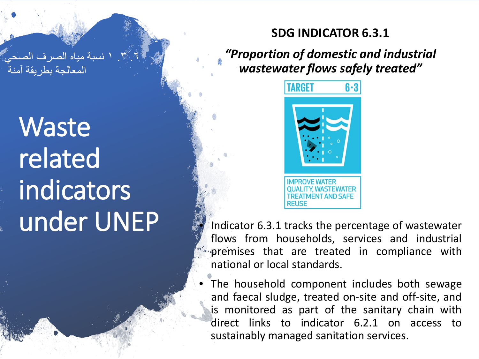.٦ .۳ ۱ نسبة میاه الصرف الصحي المعالجة بطریقة آمنة

Waste related indicators under UNEP

## **SDG INDICATOR 6.3.1**

*"Proportion of domestic and industrial wastewater flows safely treated"*



Indicator 6.3.1 tracks the percentage of wastewater flows from households, services and industrial premises that are treated in compliance with national or local standards.

The household component includes both sewage and faecal sludge, treated on-site and off-site, and is monitored as part of the sanitary chain with direct links to indicator 6.2.1 on access to sustainably managed sanitation services.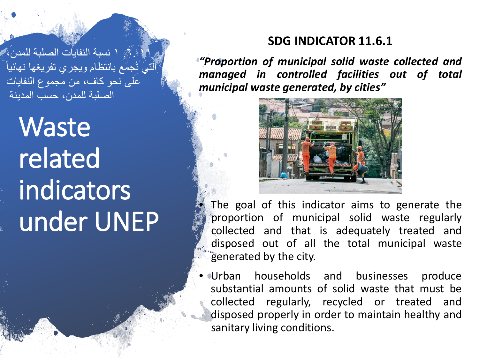۱۱ .٦. ۱ نسبة النفایات الصلبة للمدن، أَلَّتَيْ تُجمَع بانتظام ويجري تفريغها نهائياً على نحو كاف، من مجموع النفایات الصلبة للمدن، حسب المدینة

Waste related indicators under UNEP

### **SDG INDICATOR 11.6.1**

*"Proportion of municipal solid waste collected and managed in controlled facilities out of total municipal waste generated, by cities"*



The goal of this indicator aims to generate the proportion of municipal solid waste regularly collected and that is adequately treated and disposed out of all the total municipal waste generated by the city.

• Urban households and businesses produce substantial amounts of solid waste that must be collected regularly, recycled or treated and disposed properly in order to maintain healthy and sanitary living conditions.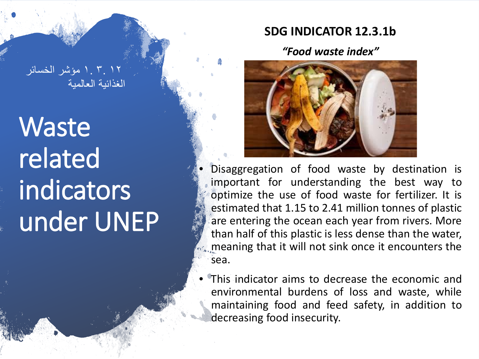## **SDG INDICATOR 12.3.1b**

*"Food waste index"*



- Disaggregation of food waste by destination is important for understanding the best way to optimize the use of food waste for fertilizer. It is estimated that 1.15 to 2.41 million tonnes of plastic are entering the ocean each year from rivers. More than half of this plastic is less dense than the water, meaning that it will not sink once it encounters the sea.
- This indicator aims to decrease the economic and environmental burdens of loss and waste, while maintaining food and feed safety, in addition to decreasing food insecurity.

۱۲ ۳. ۱. مؤشر الخسائر الغذائیة العالمیة

Waste related indicators under UNEP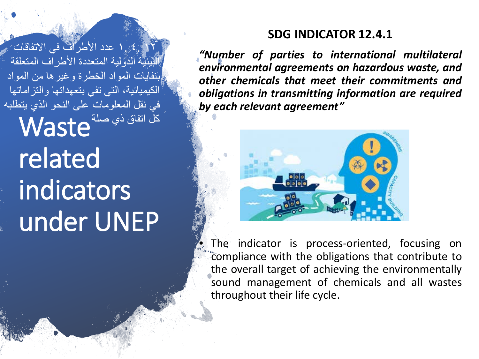**SDG INDICATOR 12.4.1**

*"Number of parties to international multilateral environmental agreements on hazardous waste, and other chemicals that meet their commitments and obligations in transmitting information are required by each relevant agreement"*



The indicator is process-oriented, focusing on compliance with the obligations that contribute to the overall target of achieving the environmentally sound management of chemicals and all wastes throughout their life cycle.

Waste كل اتفاق ذي صلةrelated indicators under UNEP ۱۲ ٤. ۱. عدد الأطراف في الاتفاقات البیئیة الدولیة المتعددة الأطراف المتعلقة بنفایات المواد الخطرة وغیرھا من المواد الكیمیائیة، التي تفي بتعھداتھا والتزاماتھا في نقل المعلومات على النحو الذي یتطلبھ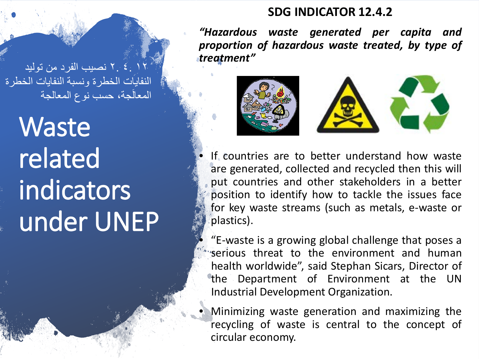۱۲ ٤. ۲. نصیب الفرد من تولید النفایات الخطرة ونسبة النفایات الخطرة المعالَجة، حسب نوع المعالجة

Waste related indicators under UNEP

#### **SDG INDICATOR 12.4.2**

*"Hazardous waste generated per capita and proportion of hazardous waste treated, by type of treatment"*



If countries are to better understand how waste are generated, collected and recycled then this will put countries and other stakeholders in a better position to identify how to tackle the issues face for key waste streams (such as metals, e-waste or plastics).

• "E-waste is a growing global challenge that poses a serious threat to the environment and human health worldwide", said Stephan Sicars, Director of the Department of Environment at the UN Industrial Development Organization.

• Minimizing waste generation and maximizing the recycling of waste is central to the concept of circular economy.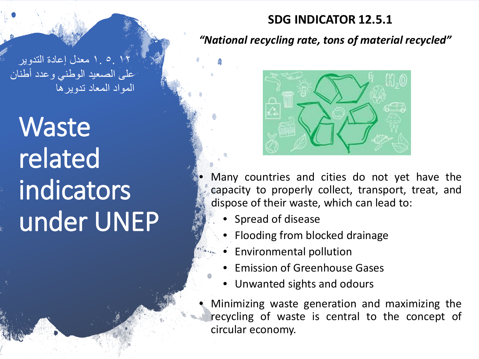### **SDG INDICATOR 12.5.1**

#### *"National recycling rate, tons of material recycled"*

۱۲ ٥. ۱. معدل إعادة التدویر على الصعید الوطني وعدد أطنان المواد المعاد تدویرھا

Waste related indicators under UNEP



Many countries and cities do not yet have the capacity to properly collect, transport, treat, and dispose of their waste, which can lead to:

- Spread of disease
- Flooding from blocked drainage
- Environmental pollution
- Emission of Greenhouse Gases
- Unwanted sights and odours
- Minimizing waste generation and maximizing the recycling of waste is central to the concept of circular economy.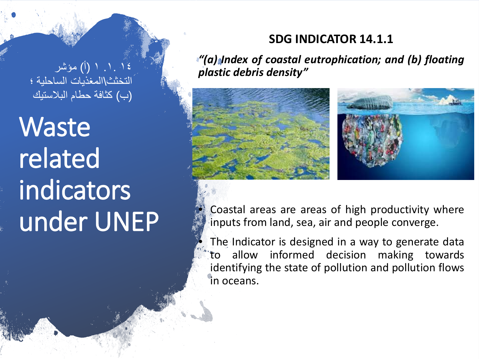## **SDG INDICATOR 14.1.1**

*"(a) Index of coastal eutrophication; and (b) floating plastic debris density"*





Coastal areas are areas of high productivity where inputs from land, sea, air and people converge.

The Indicator is designed in a way to generate data to allow informed decision making towards identifying the state of pollution and pollution flows in oceans.

۱٤ .۱. ۱ (أ) مؤشر التخثث\المغذیات الساحلیة ؛ (ب) كثافة حطام البلاستیك

Waste related indicators under UNEP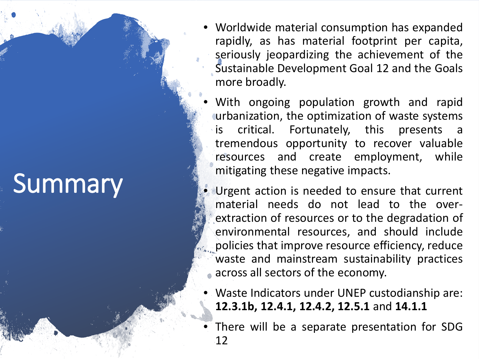# **Summary**

- Worldwide material consumption has expanded rapidly, as has material footprint per capita, seriously jeopardizing the achievement of the Sustainable Development Goal 12 and the Goals more broadly.
- With ongoing population growth and rapid urbanization, the optimization of waste systems is critical. Fortunately, this presents tremendous opportunity to recover valuable resources and create employment, while mitigating these negative impacts.
- Urgent action is needed to ensure that current material needs do not lead to the overextraction of resources or to the degradation of environmental resources, and should include policies that improve resource efficiency, reduce waste and mainstream sustainability practices across all sectors of the economy.
- Waste Indicators under UNEP custodianship are: **12.3.1b, 12.4.1, 12.4.2, 12.5.1** and **14.1.1**
- There will be a separate presentation for SDG 12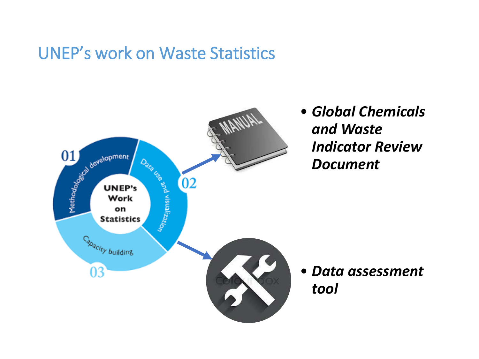## UNEP's work on Waste Statistics



• *Global Chemicals and Waste Indicator Review Document*

• *Data assessment tool*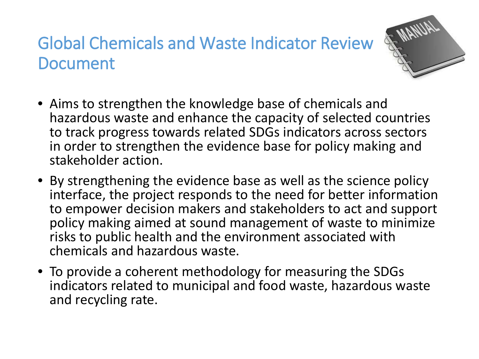## Global Chemicals and Waste Indicator Review Document



- Aims to strengthen the knowledge base of chemicals and hazardous waste and enhance the capacity of selected countries to track progress towards related SDGs indicators across sectors in order to strengthen the evidence base for policy making and stakeholder action.
- By strengthening the evidence base as well as the science policy interface, the project responds to the need for better information to empower decision makers and stakeholders to act and support policy making aimed at sound management of waste to minimize risks to public health and the environment associated with chemicals and hazardous waste.
- To provide a coherent methodology for measuring the SDGs indicators related to municipal and food waste, hazardous waste and recycling rate.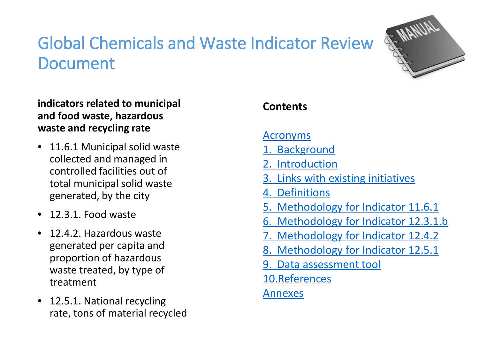## Global Chemicals and Waste Indicator Review **Document**



#### **indicators related to municipal and food waste, hazardous waste and recycling rate**

- 11.6.1 Municipal solid waste collected and managed in controlled facilities out of total municipal solid waste generated, by the city
- 12.3.1. Food waste
- 12.4.2. Hazardous waste generated per capita and proportion of hazardous waste treated, by type of treatment
- 12.5.1. National recycling rate, tons of material recycled

## **Contents**

#### Acronyms

- 1. Background
- 2. Introduction
- 3. Links with existing initiatives
- 4. Definitions
- 5. Methodology for Indicator 11.6.1
- 6. Methodology for Indicator 12.3.1.b
- 7. Methodology for Indicator 12.4.2
- 8. Methodology for Indicator 12.5.1
- 9. Data assessment tool
- 10.References

## Annexes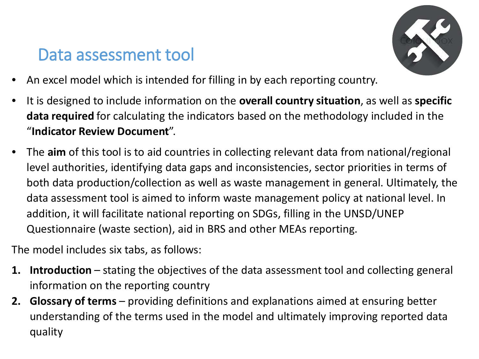## Data assessment tool

![](_page_16_Picture_1.jpeg)

- An excel model which is intended for filling in by each reporting country.
- It is designed to include information on the **overall country situation**, as well as **specific data required** for calculating the indicators based on the methodology included in the "**Indicator Review Document**".
- The **aim** of this tool is to aid countries in collecting relevant data from national/regional level authorities, identifying data gaps and inconsistencies, sector priorities in terms of both data production/collection as well as waste management in general. Ultimately, the data assessment tool is aimed to inform waste management policy at national level. In addition, it will facilitate national reporting on SDGs, filling in the UNSD/UNEP Questionnaire (waste section), aid in BRS and other MEAs reporting.

The model includes six tabs, as follows:

- **1. Introduction** stating the objectives of the data assessment tool and collecting general information on the reporting country
- **2. Glossary of terms** providing definitions and explanations aimed at ensuring better understanding of the terms used in the model and ultimately improving reported data quality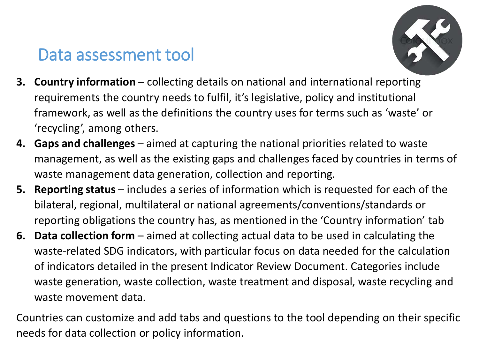## Data assessment tool

![](_page_17_Picture_1.jpeg)

- **3. Country information** collecting details on national and international reporting requirements the country needs to fulfil, it's legislative, policy and institutional framework, as well as the definitions the country uses for terms such as 'waste' or 'recycling', among others.
- **4. Gaps and challenges** aimed at capturing the national priorities related to waste management, as well as the existing gaps and challenges faced by countries in terms of waste management data generation, collection and reporting.
- **5. Reporting status** includes a series of information which is requested for each of the bilateral, regional, multilateral or national agreements/conventions/standards or reporting obligations the country has, as mentioned in the 'Country information' tab
- **6. Data collection form** aimed at collecting actual data to be used in calculating the waste-related SDG indicators, with particular focus on data needed for the calculation of indicators detailed in the present Indicator Review Document. Categories include waste generation, waste collection, waste treatment and disposal, waste recycling and waste movement data.

Countries can customize and add tabs and questions to the tool depending on their specific needs for data collection or policy information.